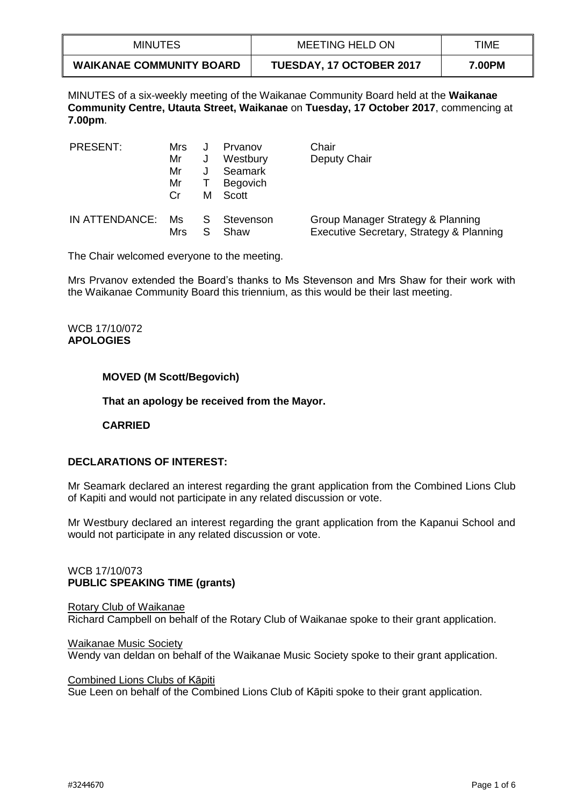| <b>MINUTES</b>                  | MEETING HELD ON                 | TIME   |
|---------------------------------|---------------------------------|--------|
| <b>WAIKANAE COMMUNITY BOARD</b> | <b>TUESDAY, 17 OCTOBER 2017</b> | 7.00PM |

MINUTES of a six-weekly meeting of the Waikanae Community Board held at the **Waikanae Community Centre, Utauta Street, Waikanae** on **Tuesday, 17 October 2017**, commencing at **7.00pm**.

| PRESENT:       | Mrs       |   | Prvanov           | Chair                                                                         |
|----------------|-----------|---|-------------------|-------------------------------------------------------------------------------|
|                | Mr        | J | Westbury          | Deputy Chair                                                                  |
|                | Mr        |   | Seamark           |                                                                               |
|                | Mr        |   | <b>Begovich</b>   |                                                                               |
|                | Cr        | м | Scott             |                                                                               |
| IN ATTENDANCE: | Ms<br>Mrs | S | Stevenson<br>Shaw | Group Manager Strategy & Planning<br>Executive Secretary, Strategy & Planning |

The Chair welcomed everyone to the meeting.

Mrs Prvanov extended the Board's thanks to Ms Stevenson and Mrs Shaw for their work with the Waikanae Community Board this triennium, as this would be their last meeting.

## WCB 17/10/072 **APOLOGIES**

## **MOVED (M Scott/Begovich)**

**That an apology be received from the Mayor.**

**CARRIED**

# **DECLARATIONS OF INTEREST:**

Mr Seamark declared an interest regarding the grant application from the Combined Lions Club of Kapiti and would not participate in any related discussion or vote.

Mr Westbury declared an interest regarding the grant application from the Kapanui School and would not participate in any related discussion or vote.

## WCB 17/10/073 **PUBLIC SPEAKING TIME (grants)**

Rotary Club of Waikanae Richard Campbell on behalf of the Rotary Club of Waikanae spoke to their grant application.

Waikanae Music Society Wendy van deldan on behalf of the Waikanae Music Society spoke to their grant application.

Combined Lions Clubs of Kāpiti Sue Leen on behalf of the Combined Lions Club of Kāpiti spoke to their grant application.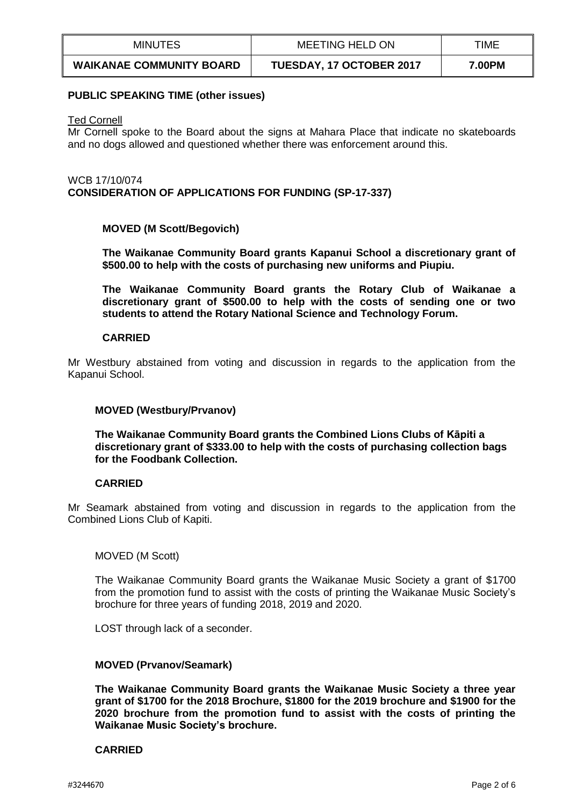| <b>MINUTES</b>                  | <b>MEETING HELD ON</b>          | TIME   |
|---------------------------------|---------------------------------|--------|
| <b>WAIKANAE COMMUNITY BOARD</b> | <b>TUESDAY, 17 OCTOBER 2017</b> | 7.00PM |

#### **PUBLIC SPEAKING TIME (other issues)**

#### Ted Cornell

Mr Cornell spoke to the Board about the signs at Mahara Place that indicate no skateboards and no dogs allowed and questioned whether there was enforcement around this.

WCB 17/10/074 **CONSIDERATION OF APPLICATIONS FOR FUNDING (SP-17-337)**

## **MOVED (M Scott/Begovich)**

**The Waikanae Community Board grants Kapanui School a discretionary grant of \$500.00 to help with the costs of purchasing new uniforms and Piupiu.**

**The Waikanae Community Board grants the Rotary Club of Waikanae a discretionary grant of \$500.00 to help with the costs of sending one or two students to attend the Rotary National Science and Technology Forum.**

## **CARRIED**

Mr Westbury abstained from voting and discussion in regards to the application from the Kapanui School.

## **MOVED (Westbury/Prvanov)**

**The Waikanae Community Board grants the Combined Lions Clubs of Kāpiti a discretionary grant of \$333.00 to help with the costs of purchasing collection bags for the Foodbank Collection.**

## **CARRIED**

Mr Seamark abstained from voting and discussion in regards to the application from the Combined Lions Club of Kapiti.

## MOVED (M Scott)

The Waikanae Community Board grants the Waikanae Music Society a grant of \$1700 from the promotion fund to assist with the costs of printing the Waikanae Music Society's brochure for three years of funding 2018, 2019 and 2020.

LOST through lack of a seconder.

## **MOVED (Prvanov/Seamark)**

**The Waikanae Community Board grants the Waikanae Music Society a three year grant of \$1700 for the 2018 Brochure, \$1800 for the 2019 brochure and \$1900 for the 2020 brochure from the promotion fund to assist with the costs of printing the Waikanae Music Society's brochure.**

## **CARRIED**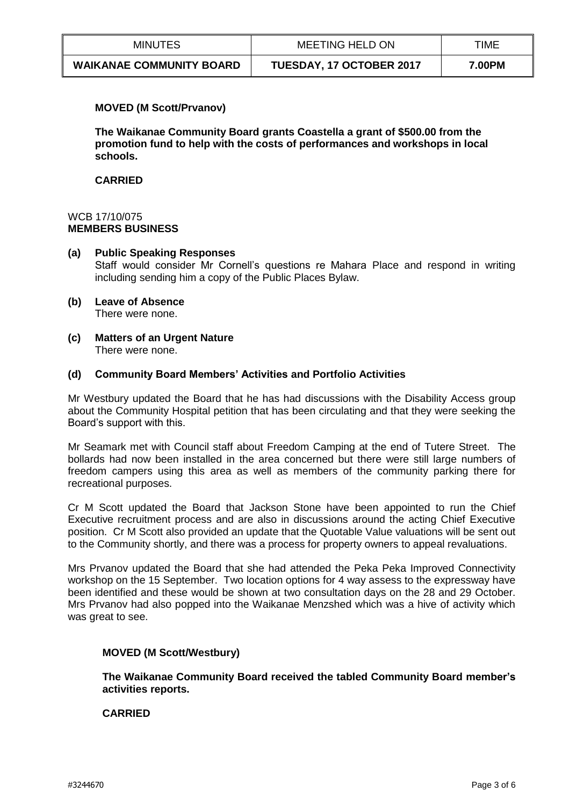| <b>MINUTES</b>                  | MEETING HELD ON                 | TIME   |
|---------------------------------|---------------------------------|--------|
| <b>WAIKANAE COMMUNITY BOARD</b> | <b>TUESDAY, 17 OCTOBER 2017</b> | 7.00PM |

## **MOVED (M Scott/Prvanov)**

**The Waikanae Community Board grants Coastella a grant of \$500.00 from the promotion fund to help with the costs of performances and workshops in local schools.**

## **CARRIED**

### WCB 17/10/075 **MEMBERS BUSINESS**

## **(a) Public Speaking Responses** Staff would consider Mr Cornell's questions re Mahara Place and respond in writing including sending him a copy of the Public Places Bylaw.

- **(b) Leave of Absence**  There were none.
- **(c) Matters of an Urgent Nature** There were none.

## **(d) Community Board Members' Activities and Portfolio Activities**

Mr Westbury updated the Board that he has had discussions with the Disability Access group about the Community Hospital petition that has been circulating and that they were seeking the Board's support with this.

Mr Seamark met with Council staff about Freedom Camping at the end of Tutere Street. The bollards had now been installed in the area concerned but there were still large numbers of freedom campers using this area as well as members of the community parking there for recreational purposes.

Cr M Scott updated the Board that Jackson Stone have been appointed to run the Chief Executive recruitment process and are also in discussions around the acting Chief Executive position. Cr M Scott also provided an update that the Quotable Value valuations will be sent out to the Community shortly, and there was a process for property owners to appeal revaluations.

Mrs Prvanov updated the Board that she had attended the Peka Peka Improved Connectivity workshop on the 15 September. Two location options for 4 way assess to the expressway have been identified and these would be shown at two consultation days on the 28 and 29 October. Mrs Prvanov had also popped into the Waikanae Menzshed which was a hive of activity which was great to see.

## **MOVED (M Scott/Westbury)**

**The Waikanae Community Board received the tabled Community Board member's activities reports.**

## **CARRIED**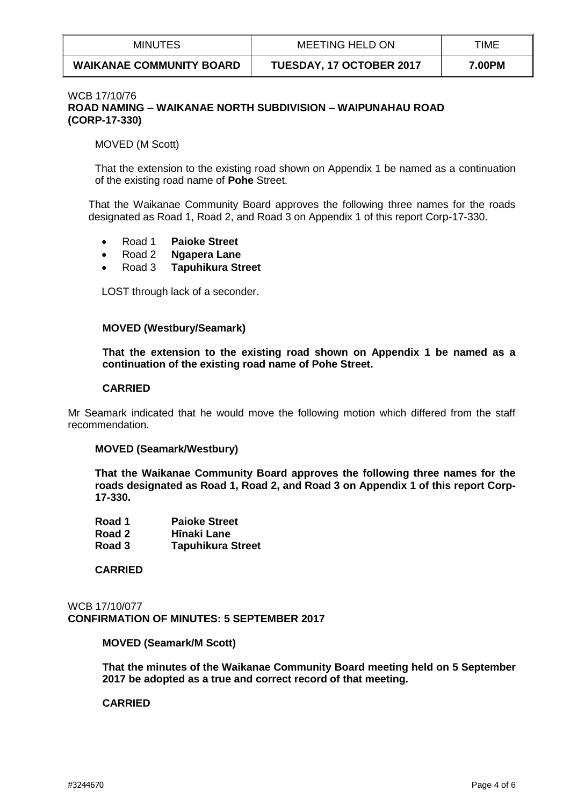| <b>MINUTES</b>                  | <b>MEETING HELD ON</b>          | TIME   |
|---------------------------------|---------------------------------|--------|
| <b>WAIKANAE COMMUNITY BOARD</b> | <b>TUESDAY, 17 OCTOBER 2017</b> | 7.00PM |

### WCB 17/10/76 **ROAD NAMING – WAIKANAE NORTH SUBDIVISION – WAIPUNAHAU ROAD (CORP-17-330)**

MOVED (M Scott)

That the extension to the existing road shown on Appendix 1 be named as a continuation of the existing road name of **Pohe** Street.

That the Waikanae Community Board approves the following three names for the roads designated as Road 1, Road 2, and Road 3 on Appendix 1 of this report Corp-17-330.

- Road 1 **Paioke Street**
- Road 2 **Ngapera Lane**
- Road 3 **Tapuhikura Street**

LOST through lack of a seconder.

## **MOVED (Westbury/Seamark)**

**That the extension to the existing road shown on Appendix 1 be named as a continuation of the existing road name of Pohe Street.**

#### **CARRIED**

Mr Seamark indicated that he would move the following motion which differed from the staff recommendation.

## **MOVED (Seamark/Westbury)**

**That the Waikanae Community Board approves the following three names for the roads designated as Road 1, Road 2, and Road 3 on Appendix 1 of this report Corp-17-330.**

| Road 1 | <b>Paioke Street</b>     |
|--------|--------------------------|
| Road 2 | Hīnaki Lane              |
| Road 3 | <b>Tapuhikura Street</b> |

**CARRIED**

WCB 17/10/077 **CONFIRMATION OF MINUTES: 5 SEPTEMBER 2017**

**MOVED (Seamark/M Scott)**

**That the minutes of the Waikanae Community Board meeting held on 5 September 2017 be adopted as a true and correct record of that meeting.** 

## **CARRIED**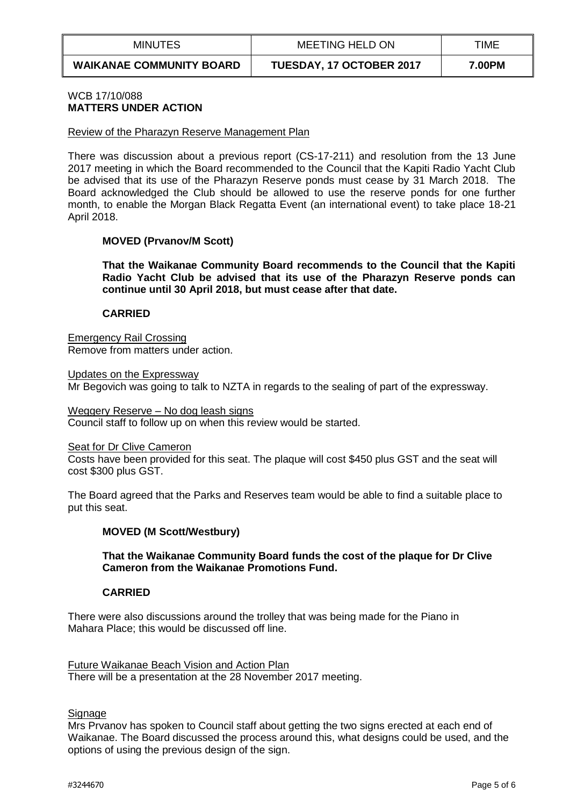| MINUTES                         | MEETING HELD ON                 | TIME   |
|---------------------------------|---------------------------------|--------|
| <b>WAIKANAE COMMUNITY BOARD</b> | <b>TUESDAY, 17 OCTOBER 2017</b> | 7.00PM |

## WCB 17/10/088 **MATTERS UNDER ACTION**

#### Review of the Pharazyn Reserve Management Plan

There was discussion about a previous report (CS-17-211) and resolution from the 13 June 2017 meeting in which the Board recommended to the Council that the Kapiti Radio Yacht Club be advised that its use of the Pharazyn Reserve ponds must cease by 31 March 2018. The Board acknowledged the Club should be allowed to use the reserve ponds for one further month, to enable the Morgan Black Regatta Event (an international event) to take place 18-21 April 2018.

## **MOVED (Prvanov/M Scott)**

**That the Waikanae Community Board recommends to the Council that the Kapiti Radio Yacht Club be advised that its use of the Pharazyn Reserve ponds can continue until 30 April 2018, but must cease after that date.**

## **CARRIED**

Emergency Rail Crossing Remove from matters under action.

Updates on the Expressway Mr Begovich was going to talk to NZTA in regards to the sealing of part of the expressway.

#### Weggery Reserve – No dog leash signs

Council staff to follow up on when this review would be started.

#### Seat for Dr Clive Cameron

Costs have been provided for this seat. The plaque will cost \$450 plus GST and the seat will cost \$300 plus GST.

The Board agreed that the Parks and Reserves team would be able to find a suitable place to put this seat.

## **MOVED (M Scott/Westbury)**

## **That the Waikanae Community Board funds the cost of the plaque for Dr Clive Cameron from the Waikanae Promotions Fund.**

## **CARRIED**

There were also discussions around the trolley that was being made for the Piano in Mahara Place; this would be discussed off line.

Future Waikanae Beach Vision and Action Plan There will be a presentation at the 28 November 2017 meeting.

## **Signage**

Mrs Prvanov has spoken to Council staff about getting the two signs erected at each end of Waikanae. The Board discussed the process around this, what designs could be used, and the options of using the previous design of the sign.